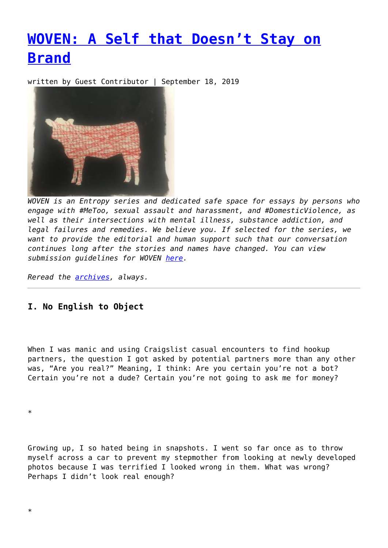# **[WOVEN: A Self that Doesn't Stay on](https://entropymag.org/woven-a-self-that-doesnt-stay-on-brand/) [Brand](https://entropymag.org/woven-a-self-that-doesnt-stay-on-brand/)**

written by Guest Contributor | September 18, 2019



*WOVEN is an Entropy series and dedicated safe space for essays by persons who engage with #MeToo, sexual assault and harassment, and #DomesticViolence, as well as their intersections with mental illness, substance addiction, and legal failures and remedies. We believe you. If selected for the series, we want to provide the editorial and human support such that our conversation continues long after the stories and names have changed. You can view submission guidelines for WOVEN [here.](https://entropymag.org/woven-call-for-submissions/)*

*Reread the [archives](https://entropymag.org/tag/woven/), always.* 

## **I. No English to Object**

When I was manic and using Craigslist casual encounters to find hookup partners, the question I got asked by potential partners more than any other was, "Are you real?" Meaning, I think: Are you certain you're not a bot? Certain you're not a dude? Certain you're not going to ask me for money?

\*

Growing up, I so hated being in snapshots. I went so far once as to throw myself across a car to prevent my stepmother from looking at newly developed photos because I was terrified I looked wrong in them. What was wrong? Perhaps I didn't look real enough?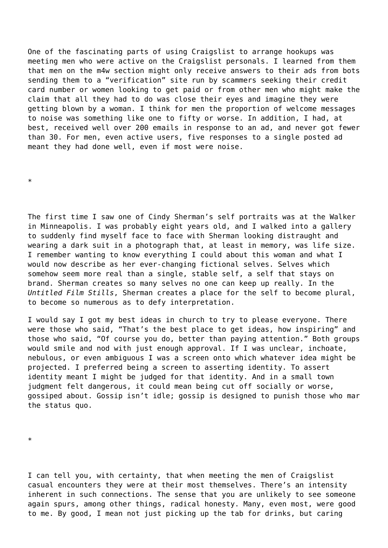One of the fascinating parts of using Craigslist to arrange hookups was meeting men who were active on the Craigslist personals. I learned from them that men on the m4w section might only receive answers to their ads from bots sending them to a "verification" site run by scammers seeking their credit card number or women looking to get paid or from other men who might make the claim that all they had to do was close their eyes and imagine they were getting blown by a woman. I think for men the proportion of welcome messages to noise was something like one to fifty or worse. In addition, I had, at best, received well over 200 emails in response to an ad, and never got fewer than 30. For men, even active users, five responses to a single posted ad meant they had done well, even if most were noise.

\*

The first time I saw one of Cindy Sherman's self portraits was at the Walker in Minneapolis. I was probably eight years old, and I walked into a gallery to suddenly find myself face to face with Sherman looking distraught and wearing a dark suit in a photograph that, at least in memory, was life size. I remember wanting to know everything I could about this woman and what I would now describe as her ever-changing fictional selves. Selves which somehow seem more real than a single, stable self, a self that stays on brand. Sherman creates so many selves no one can keep up really. In the *Untitled Film Stills*, Sherman creates a place for the self to become plural, to become so numerous as to defy interpretation.

I would say I got my best ideas in church to try to please everyone. There were those who said, "That's the best place to get ideas, how inspiring" and those who said, "Of course you do, better than paying attention." Both groups would smile and nod with just enough approval. If I was unclear, inchoate, nebulous, or even ambiguous I was a screen onto which whatever idea might be projected. I preferred being a screen to asserting identity. To assert identity meant I might be judged for that identity. And in a small town judgment felt dangerous, it could mean being cut off socially or worse, gossiped about. Gossip isn't idle; gossip is designed to punish those who mar the status quo.

\*

I can tell you, with certainty, that when meeting the men of Craigslist casual encounters they were at their most themselves. There's an intensity inherent in such connections. The sense that you are unlikely to see someone again spurs, among other things, radical honesty. Many, even most, were good to me. By good, I mean not just picking up the tab for drinks, but caring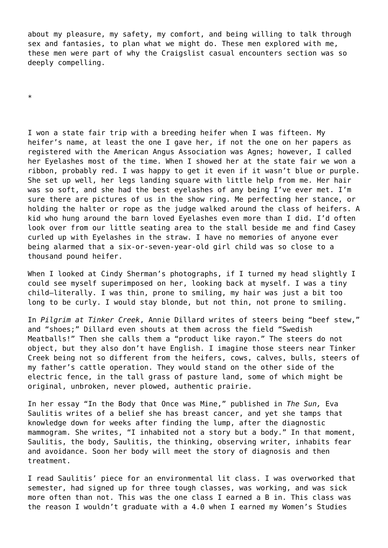about my pleasure, my safety, my comfort, and being willing to talk through sex and fantasies, to plan what we might do. These men explored with me, these men were part of why the Craigslist casual encounters section was so deeply compelling.

\*

I won a state fair trip with a breeding heifer when I was fifteen. My heifer's name, at least the one I gave her, if not the one on her papers as registered with the American Angus Association was Agnes; however, I called her Eyelashes most of the time. When I showed her at the state fair we won a ribbon, probably red. I was happy to get it even if it wasn't blue or purple. She set up well, her legs landing square with little help from me. Her hair was so soft, and she had the best eyelashes of any being I've ever met. I'm sure there are pictures of us in the show ring. Me perfecting her stance, or holding the halter or rope as the judge walked around the class of heifers. A kid who hung around the barn loved Eyelashes even more than I did. I'd often look over from our little seating area to the stall beside me and find Casey curled up with Eyelashes in the straw. I have no memories of anyone ever being alarmed that a six-or-seven-year-old girl child was so close to a thousand pound heifer.

When I looked at Cindy Sherman's photographs, if I turned my head slightly I could see myself superimposed on her, looking back at myself. I was a tiny child—literally. I was thin, prone to smiling, my hair was just a bit too long to be curly. I would stay blonde, but not thin, not prone to smiling.

In *Pilgrim at Tinker Creek*, Annie Dillard writes of steers being "beef stew," and "shoes;" Dillard even shouts at them across the field "Swedish Meatballs!" Then she calls them a "product like rayon." The steers do not object, but they also don't have English. I imagine those steers near Tinker Creek being not so different from the heifers, cows, calves, bulls, steers of my father's cattle operation. They would stand on the other side of the electric fence, in the tall grass of pasture land, some of which might be original, unbroken, never plowed, authentic prairie.

In her essay "In the Body that Once was Mine," published in *The Sun,* Eva Saulitis writes of a belief she has breast cancer, and yet she tamps that knowledge down for weeks after finding the lump, after the diagnostic mammogram. She writes, "I inhabited not a story but a body." In that moment, Saulitis, the body, Saulitis, the thinking, observing writer, inhabits fear and avoidance. Soon her body will meet the story of diagnosis and then treatment.

I read Saulitis' piece for an environmental lit class. I was overworked that semester, had signed up for three tough classes, was working, and was sick more often than not. This was the one class I earned a B in. This class was the reason I wouldn't graduate with a 4.0 when I earned my Women's Studies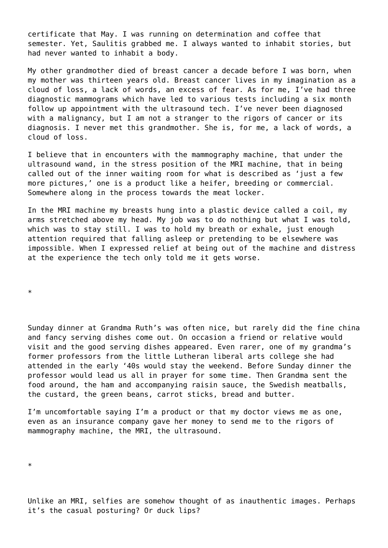certificate that May. I was running on determination and coffee that semester. Yet, Saulitis grabbed me. I always wanted to inhabit stories, but had never wanted to inhabit a body.

My other grandmother died of breast cancer a decade before I was born, when my mother was thirteen years old. Breast cancer lives in my imagination as a cloud of loss, a lack of words, an excess of fear. As for me, I've had three diagnostic mammograms which have led to various tests including a six month follow up appointment with the ultrasound tech. I've never been diagnosed with a malignancy, but I am not a stranger to the rigors of cancer or its diagnosis. I never met this grandmother. She is, for me, a lack of words, a cloud of loss.

I believe that in encounters with the mammography machine, that under the ultrasound wand, in the stress position of the MRI machine, that in being called out of the inner waiting room for what is described as 'just a few more pictures,' one is a product like a heifer, breeding or commercial. Somewhere along in the process towards the meat locker.

In the MRI machine my breasts hung into a plastic device called a coil, my arms stretched above my head. My job was to do nothing but what I was told, which was to stay still. I was to hold my breath or exhale, just enough attention required that falling asleep or pretending to be elsewhere was impossible. When I expressed relief at being out of the machine and distress at the experience the tech only told me it gets worse.

\*

Sunday dinner at Grandma Ruth's was often nice, but rarely did the fine china and fancy serving dishes come out. On occasion a friend or relative would visit and the good serving dishes appeared. Even rarer, one of my grandma's former professors from the little Lutheran liberal arts college she had attended in the early '40s would stay the weekend. Before Sunday dinner the professor would lead us all in prayer for some time. Then Grandma sent the food around, the ham and accompanying raisin sauce, the Swedish meatballs, the custard, the green beans, carrot sticks, bread and butter.

I'm uncomfortable saying I'm a product or that my doctor views me as one, even as an insurance company gave her money to send me to the rigors of mammography machine, the MRI, the ultrasound.

\*

Unlike an MRI, selfies are somehow thought of as inauthentic images. Perhaps it's the casual posturing? Or duck lips?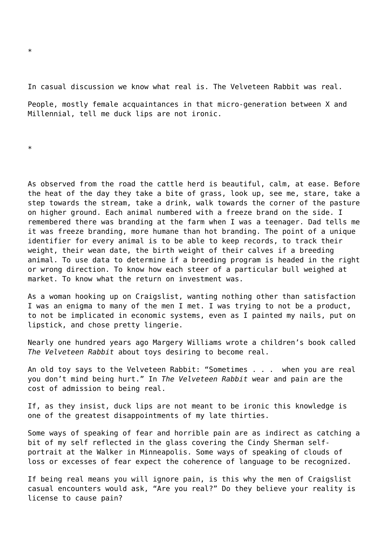In casual discussion we know what real is. The Velveteen Rabbit was real.

People, mostly female acquaintances in that micro-generation between X and Millennial, tell me duck lips are not ironic.

\*

As observed from the road the cattle herd is beautiful, calm, at ease. Before the heat of the day they take a bite of grass, look up, see me, stare, take a step towards the stream, take a drink, walk towards the corner of the pasture on higher ground. Each animal numbered with a freeze brand on the side. I remembered there was branding at the farm when I was a teenager. Dad tells me it was freeze branding, more humane than hot branding. The point of a unique identifier for every animal is to be able to keep records, to track their weight, their wean date, the birth weight of their calves if a breeding animal. To use data to determine if a breeding program is headed in the right or wrong direction. To know how each steer of a particular bull weighed at market. To know what the return on investment was.

As a woman hooking up on Craigslist, wanting nothing other than satisfaction I was an enigma to many of the men I met. I was trying to not be a product, to not be implicated in economic systems, even as I painted my nails, put on lipstick, and chose pretty lingerie.

Nearly one hundred years ago Margery Williams wrote a children's book called *The Velveteen Rabbit* about toys desiring to become real.

An old toy says to the Velveteen Rabbit: "Sometimes . . . when you are real you don't mind being hurt." In *The Velveteen Rabbit* wear and pain are the cost of admission to being real.

If, as they insist, duck lips are not meant to be ironic this knowledge is one of the greatest disappointments of my late thirties.

Some ways of speaking of fear and horrible pain are as indirect as catching a bit of my self reflected in the glass covering the Cindy Sherman selfportrait at the Walker in Minneapolis. Some ways of speaking of clouds of loss or excesses of fear expect the coherence of language to be recognized.

If being real means you will ignore pain, is this why the men of Craigslist casual encounters would ask, "Are you real?" Do they believe your reality is license to cause pain?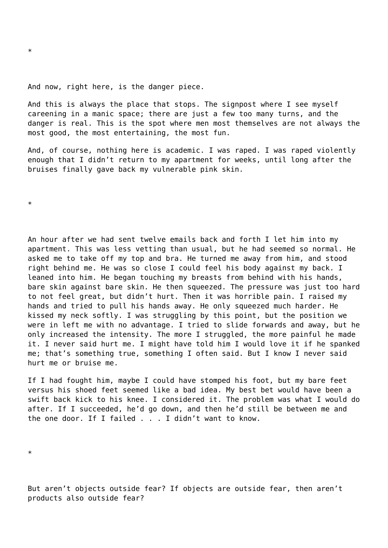#### And now, right here, is the danger piece.

And this is always the place that stops. The signpost where I see myself careening in a manic space; there are just a few too many turns, and the danger is real. This is the spot where men most themselves are not always the most good, the most entertaining, the most fun.

And, of course, nothing here is academic. I was raped. I was raped violently enough that I didn't return to my apartment for weeks, until long after the bruises finally gave back my vulnerable pink skin.

\*

An hour after we had sent twelve emails back and forth I let him into my apartment. This was less vetting than usual, but he had seemed so normal. He asked me to take off my top and bra. He turned me away from him, and stood right behind me. He was so close I could feel his body against my back. I leaned into him. He began touching my breasts from behind with his hands, bare skin against bare skin. He then squeezed. The pressure was just too hard to not feel great, but didn't hurt. Then it was horrible pain. I raised my hands and tried to pull his hands away. He only squeezed much harder. He kissed my neck softly. I was struggling by this point, but the position we were in left me with no advantage. I tried to slide forwards and away, but he only increased the intensity. The more I struggled, the more painful he made it. I never said hurt me. I might have told him I would love it if he spanked me; that's something true, something I often said. But I know I never said hurt me or bruise me.

If I had fought him, maybe I could have stomped his foot, but my bare feet versus his shoed feet seemed like a bad idea. My best bet would have been a swift back kick to his knee. I considered it. The problem was what I would do after. If I succeeded, he'd go down, and then he'd still be between me and the one door. If I failed . . . I didn't want to know.

\*

But aren't objects outside fear? If objects are outside fear, then aren't products also outside fear?

\*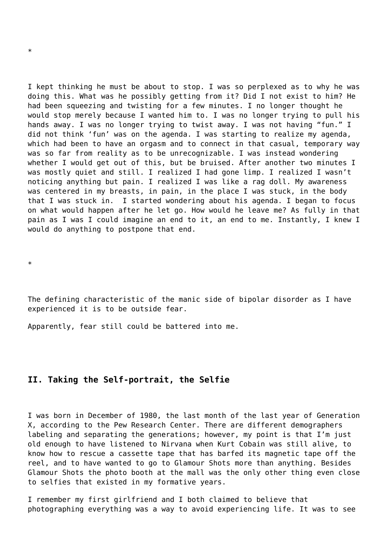I kept thinking he must be about to stop. I was so perplexed as to why he was doing this. What was he possibly getting from it? Did I not exist to him? He had been squeezing and twisting for a few minutes. I no longer thought he would stop merely because I wanted him to. I was no longer trying to pull his hands away. I was no longer trying to twist away. I was not having "fun." I did not think 'fun' was on the agenda. I was starting to realize my agenda, which had been to have an orgasm and to connect in that casual, temporary way was so far from reality as to be unrecognizable. I was instead wondering whether I would get out of this, but be bruised. After another two minutes I was mostly quiet and still. I realized I had gone limp. I realized I wasn't noticing anything but pain. I realized I was like a rag doll. My awareness was centered in my breasts, in pain, in the place I was stuck, in the body that I was stuck in. I started wondering about his agenda. I began to focus on what would happen after he let go. How would he leave me? As fully in that pain as I was I could imagine an end to it, an end to me. Instantly, I knew I would do anything to postpone that end.

\*

The defining characteristic of the manic side of bipolar disorder as I have experienced it is to be outside fear.

Apparently, fear still could be battered into me.

### **II. Taking the Self-portrait, the Selfie**

I was born in December of 1980, the last month of the last year of Generation X, according to the Pew Research Center. There are different demographers labeling and separating the generations; however, my point is that I'm just old enough to have listened to Nirvana when Kurt Cobain was still alive, to know how to rescue a cassette tape that has barfed its magnetic tape off the reel, and to have wanted to go to Glamour Shots more than anything. Besides Glamour Shots the photo booth at the mall was the only other thing even close to selfies that existed in my formative years.

I remember my first girlfriend and I both claimed to believe that photographing everything was a way to avoid experiencing life. It was to see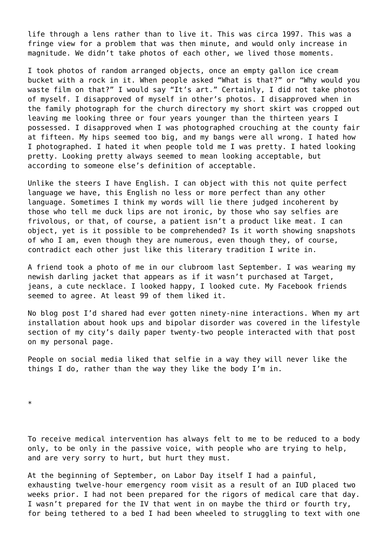life through a lens rather than to live it. This was circa 1997. This was a fringe view for a problem that was then minute, and would only increase in magnitude. We didn't take photos of each other, we lived those moments.

I took photos of random arranged objects, once an empty gallon ice cream bucket with a rock in it. When people asked "What is that?" or "Why would you waste film on that?" I would say "It's art." Certainly, I did not take photos of myself. I disapproved of myself in other's photos. I disapproved when in the family photograph for the church directory my short skirt was cropped out leaving me looking three or four years younger than the thirteen years I possessed. I disapproved when I was photographed crouching at the county fair at fifteen. My hips seemed too big, and my bangs were all wrong. I hated how I photographed. I hated it when people told me I was pretty. I hated looking pretty. Looking pretty always seemed to mean looking acceptable, but according to someone else's definition of acceptable.

Unlike the steers I have English. I can object with this not quite perfect language we have, this English no less or more perfect than any other language. Sometimes I think my words will lie there judged incoherent by those who tell me duck lips are not ironic, by those who say selfies are frivolous, or that, of course, a patient isn't a product like meat. I can object, yet is it possible to be comprehended? Is it worth showing snapshots of who I am, even though they are numerous, even though they, of course, contradict each other just like this literary tradition I write in.

A friend took a photo of me in our clubroom last September. I was wearing my newish darling jacket that appears as if it wasn't purchased at Target, jeans, a cute necklace. I looked happy, I looked cute. My Facebook friends seemed to agree. At least 99 of them liked it.

No blog post I'd shared had ever gotten ninety-nine interactions. When my art installation about hook ups and bipolar disorder was covered in the lifestyle section of my city's daily paper twenty-two people interacted with that post on my personal page.

People on social media liked that selfie in a way they will never like the things I do, rather than the way they like the body I'm in.

\*

To receive medical intervention has always felt to me to be reduced to a body only, to be only in the passive voice, with people who are trying to help, and are very sorry to hurt, but hurt they must.

At the beginning of September, on Labor Day itself I had a painful, exhausting twelve-hour emergency room visit as a result of an IUD placed two weeks prior. I had not been prepared for the rigors of medical care that day. I wasn't prepared for the IV that went in on maybe the third or fourth try, for being tethered to a bed I had been wheeled to struggling to text with one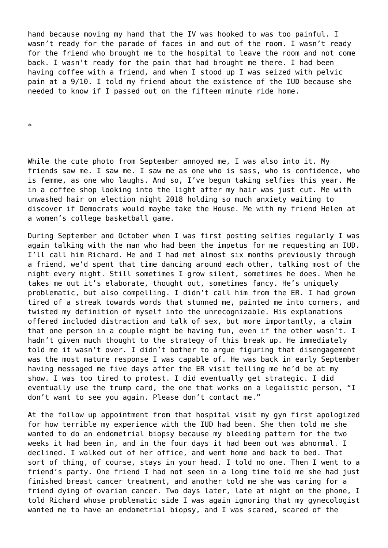hand because moving my hand that the IV was hooked to was too painful. I wasn't ready for the parade of faces in and out of the room. I wasn't ready for the friend who brought me to the hospital to leave the room and not come back. I wasn't ready for the pain that had brought me there. I had been having coffee with a friend, and when I stood up I was seized with pelvic pain at a 9/10. I told my friend about the existence of the IUD because she needed to know if I passed out on the fifteen minute ride home.

\*

While the cute photo from September annoyed me, I was also into it. My friends saw me. I saw me. I saw me as one who is sass, who is confidence, who is femme, as one who laughs. And so, I've begun taking selfies this year. Me in a coffee shop looking into the light after my hair was just cut. Me with unwashed hair on election night 2018 holding so much anxiety waiting to discover if Democrats would maybe take the House. Me with my friend Helen at a women's college basketball game.

During September and October when I was first posting selfies regularly I was again talking with the man who had been the impetus for me requesting an IUD. I'll call him Richard. He and I had met almost six months previously through a friend, we'd spent that time dancing around each other, talking most of the night every night. Still sometimes I grow silent, sometimes he does. When he takes me out it's elaborate, thought out, sometimes fancy. He's uniquely problematic, but also compelling. I didn't call him from the ER. I had grown tired of a streak towards words that stunned me, painted me into corners, and twisted my definition of myself into the unrecognizable. His explanations offered included distraction and talk of sex, but more importantly, a claim that one person in a couple might be having fun, even if the other wasn't. I hadn't given much thought to the strategy of this break up. He immediately told me it wasn't over. I didn't bother to argue figuring that disengagement was the most mature response I was capable of. He was back in early September having messaged me five days after the ER visit telling me he'd be at my show. I was too tired to protest. I did eventually get strategic. I did eventually use the trump card, the one that works on a legalistic person, "I don't want to see you again. Please don't contact me."

At the follow up appointment from that hospital visit my gyn first apologized for how terrible my experience with the IUD had been. She then told me she wanted to do an endometrial biopsy because my bleeding pattern for the two weeks it had been in, and in the four days it had been out was abnormal. I declined. I walked out of her office, and went home and back to bed. That sort of thing, of course, stays in your head. I told no one. Then I went to a friend's party. One friend I had not seen in a long time told me she had just finished breast cancer treatment, and another told me she was caring for a friend dying of ovarian cancer. Two days later, late at night on the phone, I told Richard whose problematic side I was again ignoring that my gynecologist wanted me to have an endometrial biopsy, and I was scared, scared of the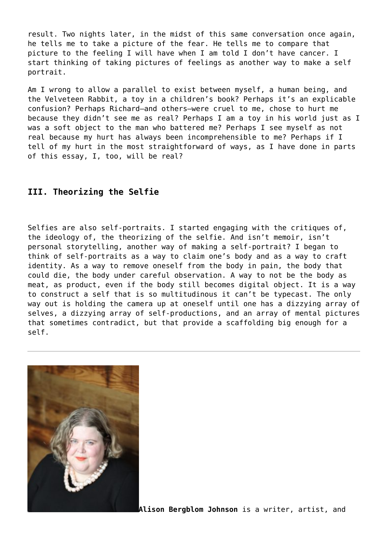result. Two nights later, in the midst of this same conversation once again, he tells me to take a picture of the fear. He tells me to compare that picture to the feeling I will have when I am told I don't have cancer. I start thinking of taking pictures of feelings as another way to make a self portrait.

Am I wrong to allow a parallel to exist between myself, a human being, and the Velveteen Rabbit, a toy in a children's book? Perhaps it's an explicable confusion? Perhaps Richard—and others—were cruel to me, chose to hurt me because they didn't see me as real? Perhaps I am a toy in his world just as I was a soft object to the man who battered me? Perhaps I see myself as not real because my hurt has always been incomprehensible to me? Perhaps if I tell of my hurt in the most straightforward of ways, as I have done in parts of this essay, I, too, will be real?

## **III. Theorizing the Selfie**

Selfies are also self-portraits. I started engaging with the critiques of, the ideology of, the theorizing of the selfie. And isn't memoir, isn't personal storytelling, another way of making a self-portrait? I began to think of self-portraits as a way to claim one's body and as a way to craft identity. As a way to remove oneself from the body in pain, the body that could die, the body under careful observation. A way to not be the body as meat, as product, even if the body still becomes digital object. It is a way to construct a self that is so multitudinous it can't be typecast. The only way out is holding the camera up at oneself until one has a dizzying array of selves, a dizzying array of self-productions, and an array of mental pictures that sometimes contradict, but that provide a scaffolding big enough for a self.